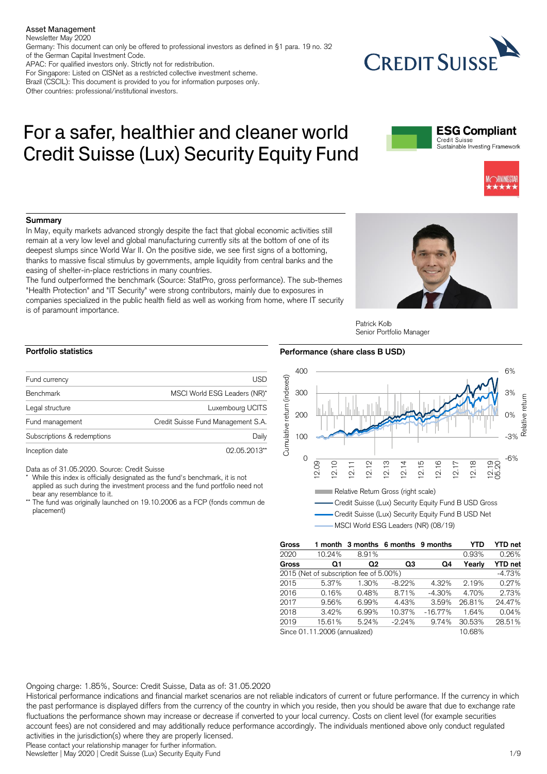Asset Management

Newsletter May 2020

Germany: This document can only be offered to professional investors as defined in §1 para. 19 no. 32 of the German Capital Investment Code.

APAC: For qualified investors only. Strictly not for redistribution.

For Singapore: Listed on CISNet as a restricted collective investment scheme. Brazil (CSCIL): This document is provided to you for information purposes only. Other countries: professional/institutional investors.

# For a safer, healthier and cleaner world Credit Suisse (Lux) Security Equity Fund



**CREDIT SUISS** 



# **Summary**

In May, equity markets advanced strongly despite the fact that global economic activities still remain at a very low level and global manufacturing currently sits at the bottom of one of its deepest slumps since World War II. On the positive side, we see first signs of a bottoming, thanks to massive fiscal stimulus by governments, ample liquidity from central banks and the easing of shelter-in-place restrictions in many countries.

The fund outperformed the benchmark (Source: StatPro, gross performance). The sub-themes "Health Protection" and "IT Security" were strong contributors, mainly due to exposures in companies specialized in the public health field as well as working from home, where IT security is of paramount importance.



#### Patrick Kolb Senior Portfolio Manager

# **Portfolio statistics**

| Fund currency               | USD                                |
|-----------------------------|------------------------------------|
| Benchmark                   | MSCI World ESG Leaders (NR)*       |
| Legal structure             | Luxembourg UCITS                   |
| Fund management             | Credit Suisse Fund Management S.A. |
| Subscriptions & redemptions | Daily                              |
| Inception date              | 02.05.2013**                       |

Data as of 31.05.2020. Source: Credit Suisse

- While this index is officially designated as the fund's benchmark, it is not applied as such during the investment process and the fund portfolio need not bear any resemblance to it.
- The fund was originally launched on 19.10.2006 as a FCP (fonds commun de placement)

# **Performance (share class B USD)**





| <b>Gross</b>                  | 1 month |                                         | 3 months 6 months 9 months |           | YTD    | <b>YTD</b> net |
|-------------------------------|---------|-----------------------------------------|----------------------------|-----------|--------|----------------|
| 2020                          | 10.24%  | 8.91%                                   |                            |           | 0.93%  | 0.26%          |
| Gross                         | Q1      | Q2                                      | Q3                         | Q4        | Yearly | <b>YTD</b> net |
|                               |         | 2015 (Net of subscription fee of 5.00%) |                            |           |        | $-4.73%$       |
| 2015                          | 5.37%   | 1.30%                                   | $-8.22%$                   | 4.32%     | 2.19%  | 0.27%          |
| 2016                          | 0.16%   | 0.48%                                   | 8.71%                      | $-4.30%$  | 4.70%  | 2.73%          |
| 2017                          | 9.56%   | 6.99%                                   | 4.43%                      | 3.59%     | 26.81% | 24.47%         |
| 2018                          | 3.42%   | 6.99%                                   | 10.37%                     | $-16.77%$ | 1.64%  | 0.04%          |
| 2019                          | 15.61%  | 5.24%                                   | $-2.24%$                   | 9.74%     | 30.53% | 28.51%         |
| Since 01.11.2006 (annualized) |         |                                         |                            |           | 10.68% |                |

# Ongoing charge: 1.85%, Source: Credit Suisse, Data as of: 31.05.2020

Historical performance indications and financial market scenarios are not reliable indicators of current or future performance. If the currency in which the past performance is displayed differs from the currency of the country in which you reside, then you should be aware that due to exchange rate fluctuations the performance shown may increase or decrease if converted to your local currency. Costs on client level (for example securities account fees) are not considered and may additionally reduce performance accordingly. The individuals mentioned above only conduct regulated activities in the jurisdiction(s) where they are properly licensed.

Please contact your relationship manager for further information.

Newsletter | May 2020 | Credit Suisse (Lux) Security Equity Fund 1/9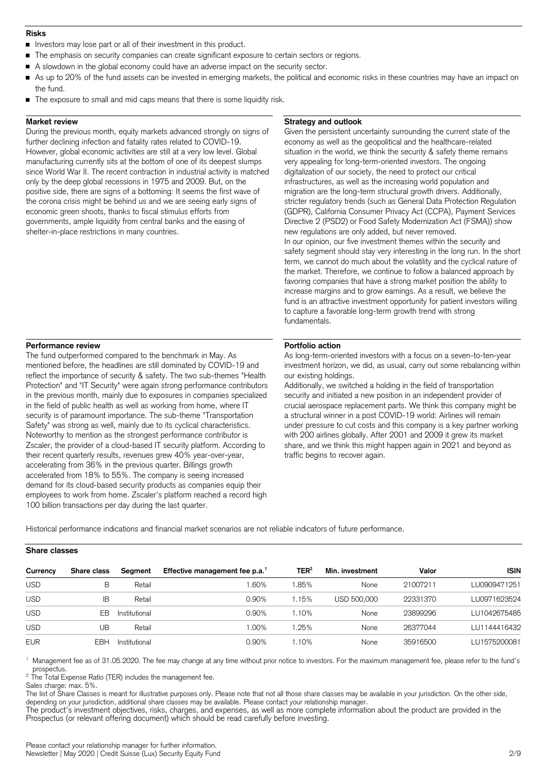## **Risks**

- Investors may lose part or all of their investment in this product.  $\blacksquare$
- The emphasis on security companies can create significant exposure to certain sectors or regions.
- A slowdown in the global economy could have an adverse impact on the security sector.
- As up to 20% of the fund assets can be invested in emerging markets, the political and economic risks in these countries may have an impact on the fund.
- The exposure to small and mid caps means that there is some liquidity risk.

# **Market review**

During the previous month, equity markets advanced strongly on signs of further declining infection and fatality rates related to COVID-19. However, global economic activities are still at a very low level. Global manufacturing currently sits at the bottom of one of its deepest slumps since World War II. The recent contraction in industrial activity is matched only by the deep global recessions in 1975 and 2009. But, on the positive side, there are signs of a bottoming: It seems the first wave of the corona crisis might be behind us and we are seeing early signs of economic green shoots, thanks to fiscal stimulus efforts from governments, ample liquidity from central banks and the easing of shelter-in-place restrictions in many countries.

## **Strategy and outlook**

**Portfolio action**

Given the persistent uncertainty surrounding the current state of the economy as well as the geopolitical and the healthcare-related situation in the world, we think the security & safety theme remains very appealing for long-term-oriented investors. The ongoing digitalization of our society, the need to protect our critical infrastructures, as well as the increasing world population and migration are the long-term structural growth drivers. Additionally, stricter regulatory trends (such as General Data Protection Regulation (GDPR), California Consumer Privacy Act (CCPA), Payment Services Directive 2 (PSD2) or Food Safety Modernization Act (FSMA)) show new regulations are only added, but never removed. In our opinion, our five investment themes within the security and safety segment should stay very interesting in the long run. In the short term, we cannot do much about the volatility and the cyclical nature of the market. Therefore, we continue to follow a balanced approach by favoring companies that have a strong market position the ability to increase margins and to grow earnings. As a result, we believe the fund is an attractive investment opportunity for patient investors willing to capture a favorable long-term growth trend with strong fundamentals.

# **Performance review**

The fund outperformed compared to the benchmark in May. As mentioned before, the headlines are still dominated by COVID-19 and reflect the importance of security & safety. The two sub-themes "Health Protection" and "IT Security" were again strong performance contributors in the previous month, mainly due to exposures in companies specialized in the field of public health as well as working from home, where IT security is of paramount importance. The sub-theme "Transportation Safety" was strong as well, mainly due to its cyclical characteristics. Noteworthy to mention as the strongest performance contributor is Zscaler, the provider of a cloud-based IT security platform. According to their recent quarterly results, revenues grew 40% year-over-year, accelerating from 36% in the previous quarter. Billings growth accelerated from 18% to 55%. The company is seeing increased demand for its cloud-based security products as companies equip their employees to work from home. Zscaler's platform reached a record high 100 billion transactions per day during the last quarter.

As long-term-oriented investors with a focus on a seven-to-ten-year investment horizon, we did, as usual, carry out some rebalancing within our existing holdings.

Additionally, we switched a holding in the field of transportation security and initiated a new position in an independent provider of crucial aerospace replacement parts. We think this company might be a structural winner in a post COVID-19 world: Airlines will remain under pressure to cut costs and this company is a key partner working with 200 airlines globally. After 2001 and 2009 it grew its market share, and we think this might happen again in 2021 and beyond as traffic begins to recover again.

Historical performance indications and financial market scenarios are not reliable indicators of future performance.

| Currency   | Share class | Segment       | Effective management fee p.a. <sup>1</sup> | TER <sup>2</sup> | Min. investment | Valor    | <b>ISIN</b>  |
|------------|-------------|---------------|--------------------------------------------|------------------|-----------------|----------|--------------|
| <b>USD</b> | В           | Retail        | .60%                                       | .85%             | None            | 21007211 | LU0909471251 |
| <b>USD</b> | ΙB          | Retail        | $0.90\%$                                   | 1.15%            | USD 500,000     | 22331370 | LU0971623524 |
| <b>USD</b> | FR          | Institutional | $0.90\%$                                   | 1.10%            | None            | 23899296 | LU1042675485 |
| <b>USD</b> | UΒ          | Retail        | .00%                                       | .25%             | None            | 26377044 | LU1144416432 |
| <b>EUR</b> | FBH         | Institutional | 0.90%                                      | 1.10%            | None            | 35916500 | LU1575200081 |

Management fee as of 31.05.2020. The fee may change at any time without prior notice to investors. For the maximum management fee, please refer to the fund's prospectus.

 $2$  The Total Expense Ratio (TER) includes the management fee.

Sales charge: max. 5%.

**Share classes**

The list of Share Classes is meant for illustrative purposes only. Please note that not all those share classes may be available in your jurisdiction. On the other side, depending on your jurisdiction, additional share classes may be available. Please contact your relationship manager.

The product's investment objectives, risks, charges, and expenses, as well as more complete information about the product are provided in the Prospectus (or relevant offering document) which should be read carefully before investing.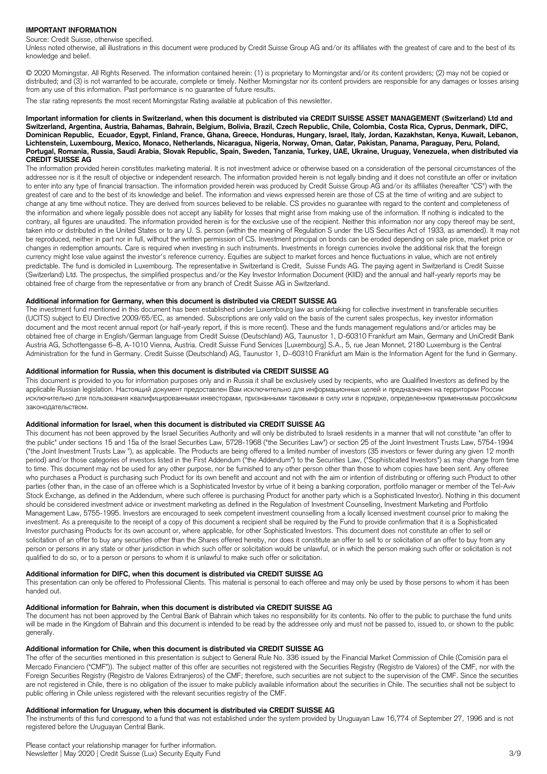# **IMPORTANT INFORMATION**

Source: Credit Suisse, otherwise specified.

Unless noted otherwise, all illustrations in this document were produced by Credit Suisse Group AG and/or its affiliates with the greatest of care and to the best of its knowledge and belief.

© 2020 Morningstar. All Rights Reserved. The information contained herein: (1) is proprietary to Morningstar and/or its content providers; (2) may not be copied or distributed; and (3) is not warranted to be accurate, complete or timely. Neither Morningstar nor its content providers are responsible for any damages or losses arising from any use of this information. Past performance is no guarantee of future results.

The star rating represents the most recent Morningstar Rating available at publication of this newsletter.

#### **Important information for clients in Switzerland, when this document is distributed via CREDIT SUISSE ASSET MANAGEMENT (Switzerland) Ltd and Switzerland, Argentina, Austria, Bahamas, Bahrain, Belgium, Bolivia, Brazil, Czech Republic, Chile, Colombia, Costa Rica, Cyprus, Denmark, DIFC, Dominican Republic, Ecuador, Egypt, Finland, France, Ghana, Greece, Honduras, Hungary, Israel, Italy, Jordan, Kazakhstan, Kenya, Kuwait, Lebanon, Lichtenstein, Luxembourg, Mexico, Monaco, Netherlands, Nicaragua, Nigeria, Norway, Oman, Qatar, Pakistan, Panama, Paraguay, Peru, Poland, Portugal, Romania, Russia, Saudi Arabia, Slovak Republic, Spain, Sweden, Tanzania, Turkey, UAE, Ukraine, Uruguay, Venezuela, when distributed via CREDIT SUISSE AG**

The information provided herein constitutes marketing material. It is not investment advice or otherwise based on a consideration of the personal circumstances of the addressee nor is it the result of objective or independent research. The information provided herein is not legally binding and it does not constitute an offer or invitation to enter into any type of financial transaction. The information provided herein was produced by Credit Suisse Group AG and/or its affiliates (hereafter "CS") with the greatest of care and to the best of its knowledge and belief. The information and views expressed herein are those of CS at the time of writing and are subject to change at any time without notice. They are derived from sources believed to be reliable. CS provides no guarantee with regard to the content and completeness of the information and where legally possible does not accept any liability for losses that might arise from making use of the information. If nothing is indicated to the contrary, all figures are unaudited. The information provided herein is for the exclusive use of the recipient. Neither this information nor any copy thereof may be sent, taken into or distributed in the United States or to any U. S. person (within the meaning of Regulation S under the US Securities Act of 1933, as amended). It may not be reproduced, neither in part nor in full, without the written permission of CS. Investment principal on bonds can be eroded depending on sale price, market price or changes in redemption amounts. Care is required when investing in such instruments. Investments in foreign currencies involve the additional risk that the foreign currency might lose value against the investor's reference currency. Equities are subject to market forces and hence fluctuations in value, which are not entirely predictable. The fund is domiciled in Luxembourg. The representative in Switzerland is Credit, Suisse Funds AG. The paying agent in Switzerland is Credit Suisse (Switzerland) Ltd. The prospectus, the simplified prospectus and/or the Key Investor Information Document (KIID) and the annual and half-yearly reports may be obtained free of charge from the representative or from any branch of Credit Suisse AG in Switzerland.

## **Additional information for Germany, when this document is distributed via CREDIT SUISSE AG**

The investment fund mentioned in this document has been established under Luxembourg law as undertaking for collective investment in transferable securities (UCITS) subject to EU Directive 2009/65/EC, as amended. Subscriptions are only valid on the basis of the current sales prospectus, key investor information document and the most recent annual report (or half-yearly report, if this is more recent). These and the funds management regulations and/or articles may be obtained free of charge in English/German language from Credit Suisse (Deutschland) AG, Taunustor 1, D-60310 Frankfurt am Main, Germany and UniCredit Bank Austria AG, Schottengasse 6–8, A-1010 Vienna, Austria. Credit Suisse Fund Services [Luxembourg] S.A., 5, rue Jean Monnet, 2180 Luxemburg is the Central Administration for the fund in Germany. Credit Suisse (Deutschland) AG, Taunustor 1, D−60310 Frankfurt am Main is the Information Agent for the fund in Germany.

#### **Additional information for Russia, when this document is distributed via CREDIT SUISSE AG**

This document is provided to you for information purposes only and in Russia it shall be exclusively used by recipients, who are Qualified Investors as defined by the applicable Russian legislation. Настоящий документ предоставлен Вам исключительно для информационных целей и предназначен на территории России исключительно для пользования квалифицированными инвесторами, признанными таковыми в силу или в порядке, определенном применимым российским законодательством.

#### **Additional information for Israel, when this document is distributed via CREDIT SUISSE AG**

This document has not been approved by the Israel Securities Authority and will only be distributed to Israeli residents in a manner that will not constitute "an offer to the public" under sections 15 and 15a of the Israel Securities Law, 5728-1968 ("the Securities Law") or section 25 of the Joint Investment Trusts Law, 5754-1994 ("the Joint Investment Trusts Law "), as applicable. The Products are being offered to a limited number of investors (35 investors or fewer during any given 12 month period) and/or those categories of investors listed in the First Addendum ("the Addendum") to the Securities Law, ("Sophisticated Investors") as may change from time to time. This document may not be used for any other purpose, nor be furnished to any other person other than those to whom copies have been sent. Any offeree who purchases a Product is purchasing such Product for its own benefit and account and not with the aim or intention of distributing or offering such Product to other parties (other than, in the case of an offeree which is a Sophisticated Investor by virtue of it being a banking corporation, portfolio manager or member of the Tel-Aviv Stock Exchange, as defined in the Addendum, where such offeree is purchasing Product for another party which is a Sophisticated Investor). Nothing in this document should be considered investment advice or investment marketing as defined in the Regulation of Investment Counselling, Investment Marketing and Portfolio Management Law, 5755-1995. Investors are encouraged to seek competent investment counselling from a locally licensed investment counsel prior to making the investment. As a prerequisite to the receipt of a copy of this document a recipient shall be required by the Fund to provide confirmation that it is a Sophisticated Investor purchasing Products for its own account or, where applicable, for other Sophisticated Investors. This document does not constitute an offer to sell or solicitation of an offer to buy any securities other than the Shares offered hereby, nor does it constitute an offer to sell to or solicitation of an offer to buy from any person or persons in any state or other jurisdiction in which such offer or solicitation would be unlawful, or in which the person making such offer or solicitation is not qualified to do so, or to a person or persons to whom it is unlawful to make such offer or solicitation.

#### **Additional information for DIFC, when this document is distributed via CREDIT SUISSE AG**

This presentation can only be offered to Professional Clients. This material is personal to each offeree and may only be used by those persons to whom it has been handed out.

# **Additional information for Bahrain, when this document is distributed via CREDIT SUISSE AG**

The document has not been approved by the Central Bank of Bahrain which takes no responsibility for its contents. No offer to the public to purchase the fund units will be made in the Kingdom of Bahrain and this document is intended to be read by the addressee only and must not be passed to, issued to, or shown to the public generally.

# **Additional information for Chile, when this document is distributed via CREDIT SUISSE AG**

The offer of the securities mentioned in this presentation is subject to General Rule No. 336 issued by the Financial Market Commission of Chile (Comisión para el Mercado Financiero ("CMF")). The subject matter of this offer are securities not registered with the Securities Registry (Registro de Valores) of the CMF, nor with the Foreign Securities Registry (Registro de Valores Extranjeros) of the CMF; therefore, such securities are not subject to the supervision of the CMF. Since the securities are not registered in Chile, there is no obligation of the issuer to make publicly available information about the securities in Chile. The securities shall not be subject to public offering in Chile unless registered with the relevant securities registry of the CMF.

#### **Additional information for Uruguay, when this document is distributed via CREDIT SUISSE AG**

The instruments of this fund correspond to a fund that was not established under the system provided by Uruguayan Law 16,774 of September 27, 1996 and is not registered before the Uruguayan Central Bank.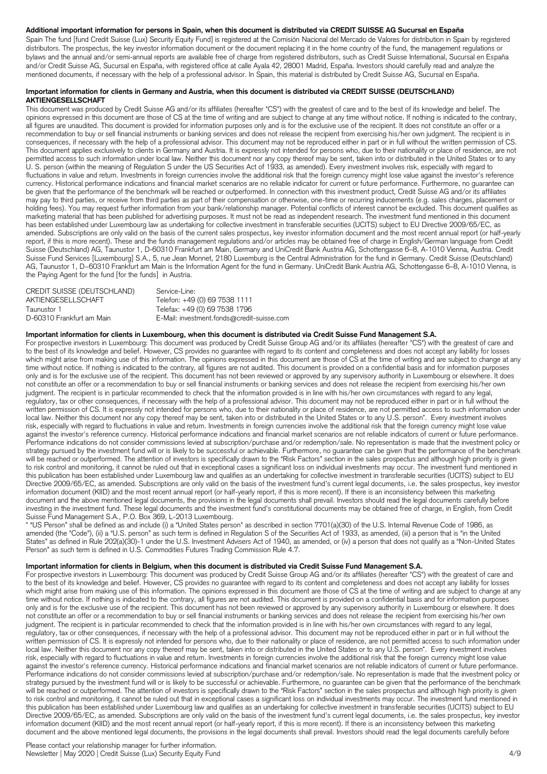# **Additional important information for persons in Spain, when this document is distributed via CREDIT SUISSE AG Sucursal en España**

Spain The fund [fund Credit Suisse (Lux) Security Equity Fund] is registered at the Comisión Nacional del Mercado de Valores for distribution in Spain by registered distributors. The prospectus, the key investor information document or the document replacing it in the home country of the fund, the management regulations or bylaws and the annual and/or semi-annual reports are available free of charge from registered distributors, such as Credit Suisse International, Sucursal en España and/or Credit Suisse AG, Sucursal en España, with registered office at calle Ayala 42, 28001 Madrid, España. Investors should carefully read and analyze the mentioned documents, if necessary with the help of a professional advisor. In Spain, this material is distributed by Credit Suisse AG, Sucursal en España.

## **Important information for clients in Germany and Austria, when this document is distributed via CREDIT SUISSE (DEUTSCHLAND) AKTIENGESELLSCHAFT**

This document was produced by Credit Suisse AG and/or its affiliates (hereafter "CS") with the greatest of care and to the best of its knowledge and belief. The opinions expressed in this document are those of CS at the time of writing and are subject to change at any time without notice. If nothing is indicated to the contrary, all figures are unaudited. This document is provided for information purposes only and is for the exclusive use of the recipient. It does not constitute an offer or a recommendation to buy or sell financial instruments or banking services and does not release the recipient from exercising his/her own judgment. The recipient is in consequences, if necessary with the help of a professional advisor. This document may not be reproduced either in part or in full without the written permission of CS. This document applies exclusively to clients in Germany and Austria. It is expressly not intended for persons who, due to their nationality or place of residence, are not permitted access to such information under local law. Neither this document nor any copy thereof may be sent, taken into or distributed in the United States or to any U. S. person (within the meaning of Regulation S under the US Securities Act of 1933, as amended). Every investment involves risk, especially with regard to fluctuations in value and return. Investments in foreign currencies involve the additional risk that the foreign currency might lose value against the investor's reference currency. Historical performance indications and financial market scenarios are no reliable indicator for current or future performance. Furthermore, no guarantee can be given that the performance of the benchmark will be reached or outperformed. In connection with this investment product, Credit Suisse AG and/or its affiliates may pay to third parties, or receive from third parties as part of their compensation or otherwise, one-time or recurring inducements (e.g. sales charges, placement or holding fees). You may request further information from your bank/relationship manager. Potential conflicts of interest cannot be excluded. This document qualifies as marketing material that has been published for advertising purposes. It must not be read as independent research. The investment fund mentioned in this document has been established under Luxembourg law as undertaking for collective investment in transferable securities (UCITS) subject to EU Directive 2009/65/EC, as amended. Subscriptions are only valid on the basis of the current sales prospectus, key investor information document and the most recent annual report (or half-yearly report, if this is more recent). These and the funds management regulations and/or articles may be obtained free of charge in English/German language from Credit Suisse (Deutschland) AG, Taunustor 1, D-60310 Frankfurt am Main, Germany and UniCredit Bank Austria AG, Schottengasse 6–8, A-1010 Vienna, Austria. Credit Suisse Fund Services [Luxembourg] S.A., 5, rue Jean Monnet, 2180 Luxemburg is the Central Administration for the fund in Germany. Credit Suisse (Deutschland) AG, Taunustor 1, D−60310 Frankfurt am Main is the Information Agent for the fund in Germany. UniCredit Bank Austria AG, Schottengasse 6–8, A-1010 Vienna, is the Paying Agent for the fund [for the funds] in Austria.

| CREDIT SUISSE (DEUTSCHLAND) | Service-Line:                              |
|-----------------------------|--------------------------------------------|
| AKTIENGESELLSCHAFT          | Telefon: +49 (0) 69 7538 1111              |
| Taunustor 1                 | Telefax: +49 (0) 69 7538 1796              |
| D-60310 Frankfurt am Main   | E-Mail: investment.fonds@credit-suisse.com |

#### **Important information for clients in Luxembourg, when this document is distributed via Credit Suisse Fund Management S.A.**

For prospective investors in Luxembourg: This document was produced by Credit Suisse Group AG and/or its affiliates (hereafter "CS") with the greatest of care and to the best of its knowledge and belief. However, CS provides no guarantee with regard to its content and completeness and does not accept any liability for losses which might arise from making use of this information. The opinions expressed in this document are those of CS at the time of writing and are subject to change at any time without notice. If nothing is indicated to the contrary, all figures are not audited. This document is provided on a confidential basis and for information purposes only and is for the exclusive use of the recipient. This document has not been reviewed or approved by any supervisory authority in Luxembourg or elsewhere. It does not constitute an offer or a recommendation to buy or sell financial instruments or banking services and does not release the recipient from exercising his/her own judgment. The recipient is in particular recommended to check that the information provided is in line with his/her own circumstances with regard to any legal, regulatory, tax or other consequences, if necessary with the help of a professional advisor. This document may not be reproduced either in part or in full without the written permission of CS. It is expressly not intended for persons who, due to their nationality or place of residence, are not permitted access to such information under local law. Neither this document nor any copy thereof may be sent, taken into or distributed in the United States or to any U.S. person\*. Every investment involves risk, especially with regard to fluctuations in value and return. Investments in foreign currencies involve the additional risk that the foreign currency might lose value against the investor's reference currency. Historical performance indications and financial market scenarios are not reliable indicators of current or future performance. Performance indications do not consider commissions levied at subscription/purchase and/or redemption/sale. No representation is made that the investment policy or strategy pursued by the investment fund will or is likely to be successful or achievable. Furthermore, no guarantee can be given that the performance of the benchmark will be reached or outperformed. The attention of investors is specifically drawn to the "Risk Factors" section in the sales prospectus and although high priority is given to risk control and monitoring, it cannot be ruled out that in exceptional cases a significant loss on individual investments may occur. The investment fund mentioned in this publication has been established under Luxembourg law and qualifies as an undertaking for collective investment in transferable securities (UCITS) subject to EU Directive 2009/65/EC, as amended. Subscriptions are only valid on the basis of the investment fund's current legal documents, i.e. the sales prospectus, key investor information document (KIID) and the most recent annual report (or half-yearly report, if this is more recent). If there is an inconsistency between this marketing document and the above mentioned legal documents, the provisions in the legal documents shall prevail. Investors should read the legal documents carefully before investing in the investment fund. These legal documents and the investment fund's constitutional documents may be obtained free of charge, in English, from Credit Suisse Fund Management S.A., P.O. Box 369, L-2013 Luxembourg.

\* "US Person" shall be defined as and include (i) a "United States person" as described in section 7701(a)(30) of the U.S. Internal Revenue Code of 1986, as amended (the "Code"), (ii) a "U.S. person" as such term is defined in Regulation S of the Securities Act of 1933, as amended, (iii) a person that is "in the United States" as defined in Rule 202(a)(30)-1 under the U.S. Investment Advisers Act of 1940, as amended, or (iv) a person that does not qualify as a "Non-United States Person" as such term is defined in U.S. Commodities Futures Trading Commission Rule 4.7.

## **Important information for clients in Belgium, when this document is distributed via Credit Suisse Fund Management S.A.**

For prospective investors in Luxembourg: This document was produced by Credit Suisse Group AG and/or its affiliates (hereafter "CS") with the greatest of care and to the best of its knowledge and belief. However, CS provides no guarantee with regard to its content and completeness and does not accept any liability for losses which might arise from making use of this information. The opinions expressed in this document are those of CS at the time of writing and are subject to change at any time without notice. If nothing is indicated to the contrary, all figures are not audited. This document is provided on a confidential basis and for information purposes only and is for the exclusive use of the recipient. This document has not been reviewed or approved by any supervisory authority in Luxembourg or elsewhere. It does not constitute an offer or a recommendation to buy or sell financial instruments or banking services and does not release the recipient from exercising his/her own judgment. The recipient is in particular recommended to check that the information provided is in line with his/her own circumstances with regard to any legal, regulatory, tax or other consequences, if necessary with the help of a professional advisor. This document may not be reproduced either in part or in full without the written permission of CS. It is expressly not intended for persons who, due to their nationality or place of residence, are not permitted access to such information under local law. Neither this document nor any copy thereof may be sent, taken into or distributed in the United States or to any U.S. person\*. Every investment involves risk, especially with regard to fluctuations in value and return. Investments in foreign currencies involve the additional risk that the foreign currency might lose value against the investor's reference currency. Historical performance indications and financial market scenarios are not reliable indicators of current or future performance. Performance indications do not consider commissions levied at subscription/purchase and/or redemption/sale. No representation is made that the investment policy or strategy pursued by the investment fund will or is likely to be successful or achievable. Furthermore, no guarantee can be given that the performance of the benchmark will be reached or outperformed. The attention of investors is specifically drawn to the "Risk Factors" section in the sales prospectus and although high priority is given to risk control and monitoring, it cannot be ruled out that in exceptional cases a significant loss on individual investments may occur. The investment fund mentioned in this publication has been established under Luxembourg law and qualifies as an undertaking for collective investment in transferable securities (UCITS) subject to EU Directive 2009/65/EC, as amended. Subscriptions are only valid on the basis of the investment fund's current legal documents, i.e. the sales prospectus, key investor information document (KIID) and the most recent annual report (or half-yearly report, if this is more recent). If there is an inconsistency between this marketing document and the above mentioned legal documents, the provisions in the legal documents shall prevail. Investors should read the legal documents carefully before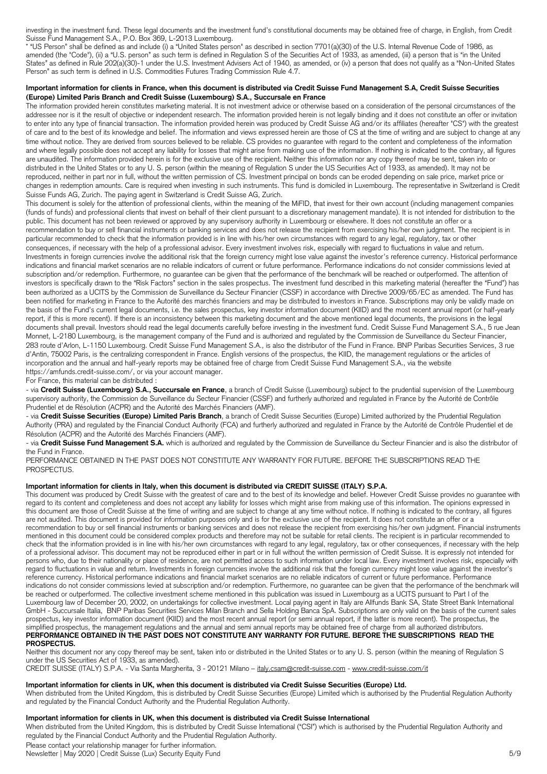investing in the investment fund. These legal documents and the investment fund's constitutional documents may be obtained free of charge, in English, from Credit Suisse Fund Management S.A., P.O. Box 369, L-2013 Luxembourg.

\* "US Person" shall be defined as and include (i) a "United States person" as described in section 7701(a)(30) of the U.S. Internal Revenue Code of 1986, as amended (the "Code"), (ii) a "U.S. person" as such term is defined in Regulation S of the Securities Act of 1933, as amended, (iii) a person that is "in the United States" as defined in Rule 202(a)(30)-1 under the U.S. Investment Advisers Act of 1940, as amended, or (iv) a person that does not qualify as a "Non-United States Person" as such term is defined in U.S. Commodities Futures Trading Commission Rule 4.7.

# **Important information for clients in France, when this document is distributed via Credit Suisse Fund Management S.A, Credit Suisse Securities (Europe) Limited Paris Branch and Credit Suisse (Luxembourg) S.A., Succursale en France**

The information provided herein constitutes marketing material. It is not investment advice or otherwise based on a consideration of the personal circumstances of the addressee nor is it the result of objective or independent research. The information provided herein is not legally binding and it does not constitute an offer or invitation to enter into any type of financial transaction. The information provided herein was produced by Credit Suisse AG and/or its affiliates (hereafter "CS") with the greatest of care and to the best of its knowledge and belief. The information and views expressed herein are those of CS at the time of writing and are subject to change at any time without notice. They are derived from sources believed to be reliable. CS provides no guarantee with regard to the content and completeness of the information and where legally possible does not accept any liability for losses that might arise from making use of the information. If nothing is indicated to the contrary, all figures are unaudited. The information provided herein is for the exclusive use of the recipient. Neither this information nor any copy thereof may be sent, taken into or distributed in the United States or to any U. S. person (within the meaning of Regulation S under the US Securities Act of 1933, as amended). It may not be reproduced, neither in part nor in full, without the written permission of CS. Investment principal on bonds can be eroded depending on sale price, market price or changes in redemption amounts. Care is required when investing in such instruments. This fund is domiciled in Luxembourg. The representative in Switzerland is Credit Suisse Funds AG, Zurich. The paying agent in Switzerland is Credit Suisse AG, Zurich.

This document is solely for the attention of professional clients, within the meaning of the MiFID, that invest for their own account (including management companies (funds of funds) and professional clients that invest on behalf of their client pursuant to a discretionary management mandate). It is not intended for distribution to the public. This document has not been reviewed or approved by any supervisory authority in Luxembourg or elsewhere. It does not constitute an offer or a recommendation to buy or sell financial instruments or banking services and does not release the recipient from exercising his/her own judgment. The recipient is in particular recommended to check that the information provided is in line with his/her own circumstances with regard to any legal, regulatory, tax or other consequences, if necessary with the help of a professional advisor. Every investment involves risk, especially with regard to fluctuations in value and return. Investments in foreign currencies involve the additional risk that the foreign currency might lose value against the investor's reference currency. Historical performance indications and financial market scenarios are no reliable indicators of current or future performance. Performance indications do not consider commissions levied at subscription and/or redemption. Furthermore, no guarantee can be given that the performance of the benchmark will be reached or outperformed. The attention of investors is specifically drawn to the "Risk Factors" section in the sales prospectus. The investment fund described in this marketing material (hereafter the "Fund") has been authorized as a UCITS by the Commission de Surveillance du Secteur Financier (CSSF) in accordance with Directive 2009/65/EC as amended. The Fund has been notified for marketing in France to the Autorité des marchés financiers and may be distributed to investors in France. Subscriptions may only be validly made on the basis of the Fund's current legal documents, i.e. the sales prospectus, key investor information document (KIID) and the most recent annual report (or half-yearly report, if this is more recent). If there is an inconsistency between this marketing document and the above mentioned legal documents, the provisions in the legal documents shall prevail. Investors should read the legal documents carefully before investing in the investment fund. Credit Suisse Fund Management S.A., 5 rue Jean Monnet, L-2180 Luxembourg, is the management company of the Fund and is authorized and regulated by the Commission de Surveillance du Secteur Financier, 283 route d'Arlon, L-1150 Luxembourg. Credit Suisse Fund Management S.A., is also the distributor of the Fund in France. BNP Paribas Securities Services, 3 rue d'Antin, 75002 Paris, is the centralizing correspondent in France. English versions of the prospectus, the KIID, the management regulations or the articles of incorporation and the annual and half-yearly reports may be obtained free of charge from Credit Suisse Fund Management S.A., via the website [https://amfunds.credit-suisse.com/,](https://amfunds.credit-suisse.com/) or via your account manager.

#### For France, this material can be distributed :

- via **Credit Suisse (Luxembourg) S.A., Succursale en France**, a branch of Credit Suisse (Luxembourg) subject to the prudential supervision of the Luxembourg supervisory authority, the Commission de Surveillance du Secteur Financier (CSSF) and furtherly authorized and regulated in France by the Autorité de Contrôle Prudentiel et de Résolution (ACPR) and the Autorité des Marchés Financiers (AMF).

- via **Credit Suisse Securities (Europe) Limited Paris Branch**, a branch of Credit Suisse Securities (Europe) Limited authorized by the Prudential Regulation Authority (PRA) and regulated by the Financial Conduct Authority (FCA) and furtherly authorized and regulated in France by the Autorité de Contrôle Prudentiel et de Résolution (ACPR) and the Autorité des Marchés Financiers (AMF).

- via Credit Suisse Fund Management S.A. which is authorized and regulated by the Commission de Surveillance du Secteur Financier and is also the distributor of the Fund in France.

PERFORMANCE OBTAINED IN THE PAST DOES NOT CONSTITUTE ANY WARRANTY FOR FUTURE. BEFORE THE SUBSCRIPTIONS READ THE PROSPECTUS.

# **Important information for clients in Italy, when this document is distributed via CREDIT SUISSE (ITALY) S.P.A.**

This document was produced by Credit Suisse with the greatest of care and to the best of its knowledge and belief. However Credit Suisse provides no guarantee with regard to its content and completeness and does not accept any liability for losses which might arise from making use of this information. The opinions expressed in this document are those of Credit Suisse at the time of writing and are subject to change at any time without notice. If nothing is indicated to the contrary, all figures are not audited. This document is provided for information purposes only and is for the exclusive use of the recipient. It does not constitute an offer or a recommendation to buy or sell financial instruments or banking services and does not release the recipient from exercising his/her own judgment. Financial instruments mentioned in this document could be considered complex products and therefore may not be suitable for retail clients. The recipient is in particular recommended to check that the information provided is in line with his/her own circumstances with regard to any legal, regulatory, tax or other consequences, if necessary with the help of a professional advisor. This document may not be reproduced either in part or in full without the written permission of Credit Suisse. It is expressly not intended for persons who, due to their nationality or place of residence, are not permitted access to such information under local law. Every investment involves risk, especially with regard to fluctuations in value and return. Investments in foreign currencies involve the additional risk that the foreign currency might lose value against the investor's reference currency. Historical performance indications and financial market scenarios are no reliable indicators of current or future performance. Performance indications do not consider commissions levied at subscription and/or redemption. Furthermore, no guarantee can be given that the performance of the benchmark will be reached or outperformed. The collective investment scheme mentioned in this publication was issued in Luxembourg as a UCITS pursuant to Part I of the Luxembourg law of December 20, 2002, on undertakings for collective investment. Local paying agent in Italy are Allfunds Bank SA, State Street Bank International GmbH - Succursale Italia, BNP Paribas Securities Services Milan Branch and Sella Holding Banca SpA. Subscriptions are only valid on the basis of the current sales prospectus, key investor information document (KIID) and the most recent annual report (or semi annual report, if the latter is more recent). The prospectus, the simplified prospectus, the management regulations and the annual and semi annual reports may be obtained free of charge from all authorized distributors. **PERFORMANCE OBTAINED IN THE PAST DOES NOT CONSTITUTE ANY WARRANTY FOR FUTURE. BEFORE THE SUBSCRIPTIONS READ THE PROSPECTUS.** 

Neither this document nor any copy thereof may be sent, taken into or distributed in the United States or to any U. S. person (within the meaning of Regulation S under the US Securities Act of 1933, as amended).

CREDIT SUISSE (ITALY) S.P.A. - Via Santa Margherita, 3 - 20121 Milano – [italy.csam@credit-suisse.com](mailto:italy.csam@credit-suisse.com) - [www.credit-suisse.com/it](https://www.credit-suisse.com/it)

#### **Important information for clients in UK, when this document is distributed via Credit Suisse Securities (Europe) Ltd.**

When distributed from the United Kingdom, this is distributed by Credit Suisse Securities (Europe) Limited which is authorised by the Prudential Regulation Authority and regulated by the Financial Conduct Authority and the Prudential Regulation Authority.

# **Important information for clients in UK, when this document is distributed via Credit Suisse International**

Please contact your relationship manager for further information. Newsletter | May 2020 | Credit Suisse (Lux) Security Equity Fund 5/9 When distributed from the United Kingdom, this is distributed by Credit Suisse International ("CSI") which is authorised by the Prudential Regulation Authority and regulated by the Financial Conduct Authority and the Prudential Regulation Authority.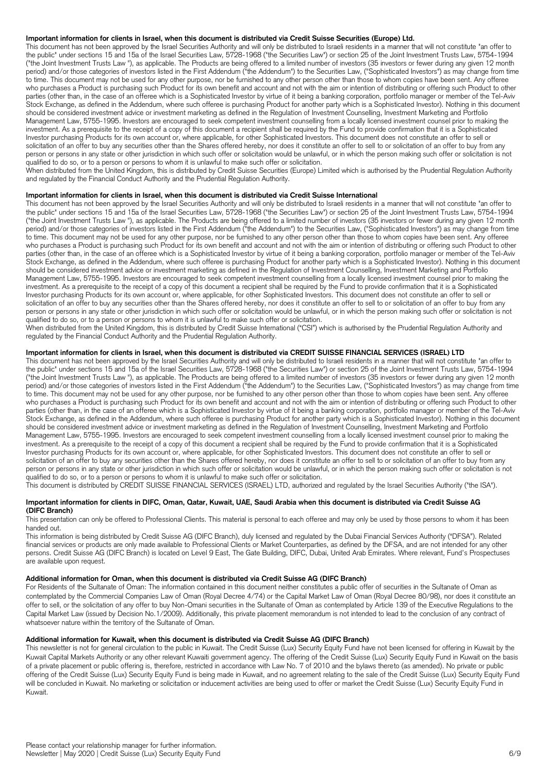## **Important information for clients in Israel, when this document is distributed via Credit Suisse Securities (Europe) Ltd.**

This document has not been approved by the Israel Securities Authority and will only be distributed to Israeli residents in a manner that will not constitute "an offer to the public" under sections 15 and 15a of the Israel Securities Law, 5728-1968 ("the Securities Law") or section 25 of the Joint Investment Trusts Law, 5754-1994 ("the Joint Investment Trusts Law "), as applicable. The Products are being offered to a limited number of investors (35 investors or fewer during any given 12 month period) and/or those categories of investors listed in the First Addendum ("the Addendum") to the Securities Law, ("Sophisticated Investors") as may change from time to time. This document may not be used for any other purpose, nor be furnished to any other person other than those to whom copies have been sent. Any offeree who purchases a Product is purchasing such Product for its own benefit and account and not with the aim or intention of distributing or offering such Product to other parties (other than, in the case of an offeree which is a Sophisticated Investor by virtue of it being a banking corporation, portfolio manager or member of the Tel-Aviv Stock Exchange, as defined in the Addendum, where such offeree is purchasing Product for another party which is a Sophisticated Investor). Nothing in this document should be considered investment advice or investment marketing as defined in the Regulation of Investment Counselling, Investment Marketing and Portfolio Management Law, 5755-1995. Investors are encouraged to seek competent investment counselling from a locally licensed investment counsel prior to making the investment. As a prerequisite to the receipt of a copy of this document a recipient shall be required by the Fund to provide confirmation that it is a Sophisticated Investor purchasing Products for its own account or, where applicable, for other Sophisticated Investors. This document does not constitute an offer to sell or solicitation of an offer to buy any securities other than the Shares offered hereby, nor does it constitute an offer to sell to or solicitation of an offer to buy from any person or persons in any state or other jurisdiction in which such offer or solicitation would be unlawful, or in which the person making such offer or solicitation is not qualified to do so, or to a person or persons to whom it is unlawful to make such offer or solicitation.

When distributed from the United Kingdom, this is distributed by Credit Suisse Securities (Europe) Limited which is authorised by the Prudential Regulation Authority and regulated by the Financial Conduct Authority and the Prudential Regulation Authority.

#### **Important information for clients in Israel, when this document is distributed via Credit Suisse International**

This document has not been approved by the Israel Securities Authority and will only be distributed to Israeli residents in a manner that will not constitute "an offer to the public" under sections 15 and 15a of the Israel Securities Law, 5728-1968 ("the Securities Law") or section 25 of the Joint Investment Trusts Law, 5754-1994 ("the Joint Investment Trusts Law "), as applicable. The Products are being offered to a limited number of investors (35 investors or fewer during any given 12 month period) and/or those categories of investors listed in the First Addendum ("the Addendum") to the Securities Law, ("Sophisticated Investors") as may change from time to time. This document may not be used for any other purpose, nor be furnished to any other person other than those to whom copies have been sent. Any offeree who purchases a Product is purchasing such Product for its own benefit and account and not with the aim or intention of distributing or offering such Product to other parties (other than, in the case of an offeree which is a Sophisticated Investor by virtue of it being a banking corporation, portfolio manager or member of the Tel-Aviv Stock Exchange, as defined in the Addendum, where such offeree is purchasing Product for another party which is a Sophisticated Investor). Nothing in this document should be considered investment advice or investment marketing as defined in the Regulation of Investment Counselling, Investment Marketing and Portfolio Management Law, 5755-1995. Investors are encouraged to seek competent investment counselling from a locally licensed investment counsel prior to making the investment. As a prerequisite to the receipt of a copy of this document a recipient shall be required by the Fund to provide confirmation that it is a Sophisticated Investor purchasing Products for its own account or, where applicable, for other Sophisticated Investors. This document does not constitute an offer to sell or solicitation of an offer to buy any securities other than the Shares offered hereby, nor does it constitute an offer to sell to or solicitation of an offer to buy from any person or persons in any state or other jurisdiction in which such offer or solicitation would be unlawful, or in which the person making such offer or solicitation is not qualified to do so, or to a person or persons to whom it is unlawful to make such offer or solicitation.

When distributed from the United Kingdom, this is distributed by Credit Suisse International ("CSI") which is authorised by the Prudential Regulation Authority and regulated by the Financial Conduct Authority and the Prudential Regulation Authority.

## **Important information for clients in Israel, when this document is distributed via CREDIT SUISSE FINANCIAL SERVICES (ISRAEL) LTD**

This document has not been approved by the Israel Securities Authority and will only be distributed to Israeli residents in a manner that will not constitute "an offer to the public" under sections 15 and 15a of the Israel Securities Law, 5728-1968 ("the Securities Law") or section 25 of the Joint Investment Trusts Law, 5754-1994 ("the Joint Investment Trusts Law "), as applicable. The Products are being offered to a limited number of investors (35 investors or fewer during any given 12 month period) and/or those categories of investors listed in the First Addendum ("the Addendum") to the Securities Law, ("Sophisticated Investors") as may change from time to time. This document may not be used for any other purpose, nor be furnished to any other person other than those to whom copies have been sent. Any offeree who purchases a Product is purchasing such Product for its own benefit and account and not with the aim or intention of distributing or offering such Product to other parties (other than, in the case of an offeree which is a Sophisticated Investor by virtue of it being a banking corporation, portfolio manager or member of the Tel-Aviv Stock Exchange, as defined in the Addendum, where such offeree is purchasing Product for another party which is a Sophisticated Investor). Nothing in this document should be considered investment advice or investment marketing as defined in the Regulation of Investment Counselling, Investment Marketing and Portfolio Management Law, 5755-1995. Investors are encouraged to seek competent investment counselling from a locally licensed investment counsel prior to making the investment. As a prerequisite to the receipt of a copy of this document a recipient shall be required by the Fund to provide confirmation that it is a Sophisticated Investor purchasing Products for its own account or, where applicable, for other Sophisticated Investors. This document does not constitute an offer to sell or solicitation of an offer to buy any securities other than the Shares offered hereby, nor does it constitute an offer to sell to or solicitation of an offer to buy from any person or persons in any state or other jurisdiction in which such offer or solicitation would be unlawful, or in which the person making such offer or solicitation is not qualified to do so, or to a person or persons to whom it is unlawful to make such offer or solicitation.

This document is distributed by CREDIT SUISSE FINANCIAL SERVICES (ISRAEL) LTD, authorized and regulated by the Israel Securities Authority ("the ISA").

#### **Important information for clients in DIFC, Oman, Qatar, Kuwait, UAE, Saudi Arabia when this document is distributed via Credit Suisse AG (DIFC Branch)**

This presentation can only be offered to Professional Clients. This material is personal to each offeree and may only be used by those persons to whom it has been handed out.

This information is being distributed by Credit Suisse AG (DIFC Branch), duly licensed and regulated by the Dubai Financial Services Authority ("DFSA"). Related financial services or products are only made available to Professional Clients or Market Counterparties, as defined by the DFSA, and are not intended for any other persons. Credit Suisse AG (DIFC Branch) is located on Level 9 East, The Gate Building, DIFC, Dubai, United Arab Emirates. Where relevant, Fund's Prospectuses are available upon request.

## **Additional information for Oman, when this document is distributed via Credit Suisse AG (DIFC Branch)**

For Residents of the Sultanate of Oman: The information contained in this document neither constitutes a public offer of securities in the Sultanate of Oman as contemplated by the Commercial Companies Law of Oman (Royal Decree 4/74) or the Capital Market Law of Oman (Royal Decree 80/98), nor does it constitute an offer to sell, or the solicitation of any offer to buy Non-Omani securities in the Sultanate of Oman as contemplated by Article 139 of the Executive Regulations to the Capital Market Law (issued by Decision No.1/2009). Additionally, this private placement memorandum is not intended to lead to the conclusion of any contract of whatsoever nature within the territory of the Sultanate of Oman.

#### **Additional information for Kuwait, when this document is distributed via Credit Suisse AG (DIFC Branch)**

This newsletter is not for general circulation to the public in Kuwait. The Credit Suisse (Lux) Security Equity Fund have not been licensed for offering in Kuwait by the Kuwait Capital Markets Authority or any other relevant Kuwaiti government agency. The offering of the Credit Suisse (Lux) Security Equity Fund in Kuwait on the basis of a private placement or public offering is, therefore, restricted in accordance with Law No. 7 of 2010 and the bylaws thereto (as amended). No private or public offering of the Credit Suisse (Lux) Security Equity Fund is being made in Kuwait, and no agreement relating to the sale of the Credit Suisse (Lux) Security Equity Fund will be concluded in Kuwait. No marketing or solicitation or inducement activities are being used to offer or market the Credit Suisse (Lux) Security Equity Fund in Kuwait.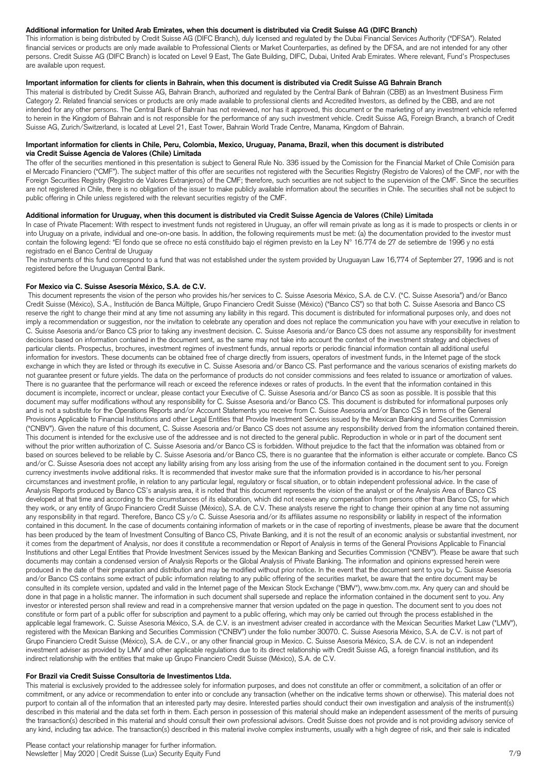# **Additional information for United Arab Emirates, when this document is distributed via Credit Suisse AG (DIFC Branch)**

This information is being distributed by Credit Suisse AG (DIFC Branch), duly licensed and regulated by the Dubai Financial Services Authority ("DFSA"). Related financial services or products are only made available to Professional Clients or Market Counterparties, as defined by the DFSA, and are not intended for any other persons. Credit Suisse AG (DIFC Branch) is located on Level 9 East, The Gate Building, DIFC, Dubai, United Arab Emirates. Where relevant, Fund's Prospectuses are available upon request.

## **Important information for clients for clients in Bahrain, when this document is distributed via Credit Suisse AG Bahrain Branch**

This material is distributed by Credit Suisse AG, Bahrain Branch, authorized and regulated by the Central Bank of Bahrain (CBB) as an Investment Business Firm Category 2. Related financial services or products are only made available to professional clients and Accredited Investors, as defined by the CBB, and are not intended for any other persons. The Central Bank of Bahrain has not reviewed, nor has it approved, this document or the marketing of any investment vehicle referred to herein in the Kingdom of Bahrain and is not responsible for the performance of any such investment vehicle. Credit Suisse AG, Foreign Branch, a branch of Credit Suisse AG, Zurich/Switzerland, is located at Level 21, East Tower, Bahrain World Trade Centre, Manama, Kingdom of Bahrain.

#### **Important information for clients in Chile, Peru, Colombia, Mexico, Uruguay, Panama, Brazil, when this document is distributed via Credit Suisse Agencia de Valores (Chile) Limitada**

The offer of the securities mentioned in this presentation is subject to General Rule No. 336 issued by the Comission for the Financial Market of Chile Comisión para el Mercado Financiero ("CMF"). The subject matter of this offer are securities not registered with the Securities Registry (Registro de Valores) of the CMF, nor with the Foreign Securities Registry (Registro de Valores Extranjeros) of the CMF; therefore, such securities are not subject to the supervision of the CMF. Since the securities are not registered in Chile, there is no obligation of the issuer to make publicly available information about the securities in Chile. The securities shall not be subject to public offering in Chile unless registered with the relevant securities registry of the CMF.

# **Additional information for Uruguay, when this document is distributed via Credit Suisse Agencia de Valores (Chile) Limitada**

In case of Private Placement: With respect to investment funds not registered in Uruguay, an offer will remain private as long as it is made to prospects or clients in or into Uruguay on a private, individual and one-on-one basis. In addition, the following requirements must be met: (a) the documentation provided to the investor must contain the following legend: "El fondo que se ofrece no está constituido bajo el régimen previsto en la Ley N° 16.774 de 27 de setiembre de 1996 y no está registrado en el Banco Central de Uruguay

The instruments of this fund correspond to a fund that was not established under the system provided by Uruguayan Law 16,774 of September 27, 1996 and is not registered before the Uruguayan Central Bank.

## **For Mexico via C. Suisse Asesoría México, S.A. de C.V.**

This document represents the vision of the person who provides his/her services to C. Suisse Asesoria México, S.A. de C.V. ("C. Suisse Asesoria") and/or Banco Credit Suisse (México), S.A., Institución de Banca Múltiple, Grupo Financiero Credit Suisse (México) ("Banco CS") so that both C. Suisse Asesoria and Banco CS reserve the right to change their mind at any time not assuming any liability in this regard. This document is distributed for informational purposes only, and does not imply a recommendation or suggestion, nor the invitation to celebrate any operation and does not replace the communication you have with your executive in relation to C. Suisse Asesoria and/or Banco CS prior to taking any investment decision. C. Suisse Asesoria and/or Banco CS does not assume any responsibility for investment decisions based on information contained in the document sent, as the same may not take into account the context of the investment strategy and objectives of particular clients. Prospectus, brochures, investment regimes of investment funds, annual reports or periodic financial information contain all additional useful information for investors. These documents can be obtained free of charge directly from issuers, operators of investment funds, in the Internet page of the stock exchange in which they are listed or through its executive in C. Suisse Asesoria and/or Banco CS. Past performance and the various scenarios of existing markets do not guarantee present or future yields. The data on the performance of products do not consider commissions and fees related to issuance or amortization of values. There is no guarantee that the performance will reach or exceed the reference indexes or rates of products. In the event that the information contained in this document is incomplete, incorrect or unclear, please contact your Executive of C. Suisse Asesoria and/or Banco CS as soon as possible. It is possible that this document may suffer modifications without any responsibility for C. Suisse Asesoria and/or Banco CS. This document is distributed for informational purposes only and is not a substitute for the Operations Reports and/or Account Statements you receive from C. Suisse Asesoria and/or Banco CS in terms of the General Provisions Applicable to Financial Institutions and other Legal Entities that Provide Investment Services issued by the Mexican Banking and Securities Commission ("CNBV"). Given the nature of this document, C. Suisse Asesoria and/or Banco CS does not assume any responsibility derived from the information contained therein. This document is intended for the exclusive use of the addressee and is not directed to the general public. Reproduction in whole or in part of the document sent without the prior written authorization of C. Suisse Asesoria and/or Banco CS is forbidden. Without prejudice to the fact that the information was obtained from or based on sources believed to be reliable by C. Suisse Asesoria and/or Banco CS, there is no guarantee that the information is either accurate or complete. Banco CS and/or C. Suisse Asesoria does not accept any liability arising from any loss arising from the use of the information contained in the document sent to you. Foreign currency investments involve additional risks. It is recommended that investor make sure that the information provided is in accordance to his/her personal circumstances and investment profile, in relation to any particular legal, regulatory or fiscal situation, or to obtain independent professional advice. In the case of Analysis Reports produced by Banco CS's analysis area, it is noted that this document represents the vision of the analyst or of the Analysis Area of Banco CS developed at that time and according to the circumstances of its elaboration, which did not receive any compensation from persons other than Banco CS, for which they work, or any entity of Grupo Financiero Credit Suisse (México), S.A. de C.V. These analysts reserve the right to change their opinion at any time not assuming any responsibility in that regard. Therefore, Banco CS y/o C. Suisse Asesoria and/or its affiliates assume no responsibility or liability in respect of the information contained in this document. In the case of documents containing information of markets or in the case of reporting of investments, please be aware that the document has been produced by the team of Investment Consulting of Banco CS, Private Banking, and it is not the result of an economic analysis or substantial investment, nor it comes from the department of Analysis, nor does it constitute a recommendation or Report of Analysis in terms of the General Provisions Applicable to Financial Institutions and other Legal Entities that Provide Investment Services issued by the Mexican Banking and Securities Commission ("CNBV"). Please be aware that such documents may contain a condensed version of Analysis Reports or the Global Analysis of Private Banking. The information and opinions expressed herein were produced in the date of their preparation and distribution and may be modified without prior notice. In the event that the document sent to you by C. Suisse Asesoria and/or Banco CS contains some extract of public information relating to any public offering of the securities market, be aware that the entire document may be consulted in its complete version, updated and valid in the Internet page of the Mexican Stock Exchange ("BMV"), www.bmv.com.mx. Any query can and should be done in that page in a holistic manner. The information in such document shall supersede and replace the information contained in the document sent to you. Any investor or interested person shall review and read in a comprehensive manner that version updated on the page in question. The document sent to you does not constitute or form part of a public offer for subscription and payment to a public offering, which may only be carried out through the process established in the applicable legal framework. C. Suisse Asesoria México, S.A. de C.V. is an investment adviser created in accordance with the Mexican Securities Market Law ("LMV"), registered with the Mexican Banking and Securities Commission ("CNBV") under the folio number 30070. C. Suisse Asesoria México, S.A. de C.V. is not part of Grupo Financiero Credit Suisse (México), S.A. de C.V., or any other financial group in Mexico. C. Suisse Asesoria México, S.A. de C.V. is not an independent investment adviser as provided by LMV and other applicable regulations due to its direct relationship with Credit Suisse AG, a foreign financial institution, and its indirect relationship with the entities that make up Grupo Financiero Credit Suisse (México), S.A. de C.V.

## **For Brazil via Credit Suisse Consultoria de Investimentos Ltda.**

This material is exclusively provided to the addressee solely for information purposes, and does not constitute an offer or commitment, a solicitation of an offer or commitment, or any advice or recommendation to enter into or conclude any transaction (whether on the indicative terms shown or otherwise). This material does not purport to contain all of the information that an interested party may desire. Interested parties should conduct their own investigation and analysis of the instrument(s) described in this material and the data set forth in them. Each person in possession of this material should make an independent assessment of the merits of pursuing the transaction(s) described in this material and should consult their own professional advisors. Credit Suisse does not provide and is not providing advisory service of any kind, including tax advice. The transaction(s) described in this material involve complex instruments, usually with a high degree of risk, and their sale is indicated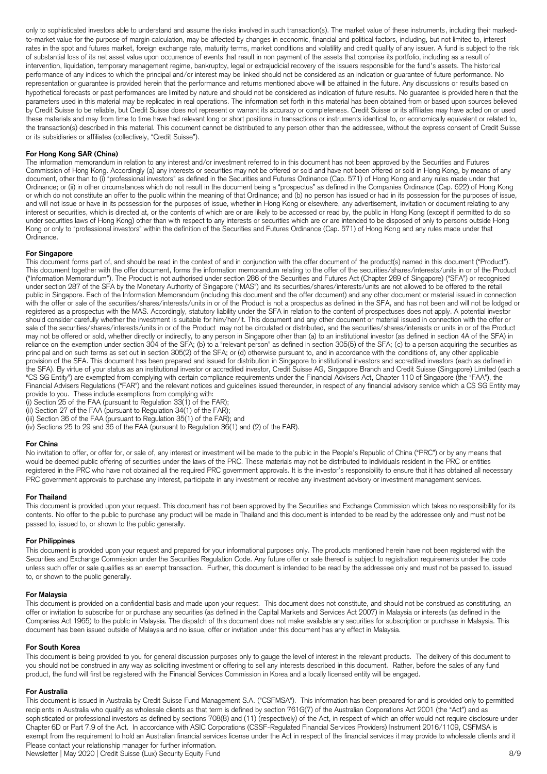only to sophisticated investors able to understand and assume the risks involved in such transaction(s). The market value of these instruments, including their markedto-market value for the purpose of margin calculation, may be affected by changes in economic, financial and political factors, including, but not limited to, interest rates in the spot and futures market, foreign exchange rate, maturity terms, market conditions and volatility and credit quality of any issuer. A fund is subject to the risk of substantial loss of its net asset value upon occurrence of events that result in non payment of the assets that comprise its portfolio, including as a result of intervention, liquidation, temporary management regime, bankruptcy, legal or extrajudicial recovery of the issuers responsible for the fund's assets. The historical performance of any indices to which the principal and/or interest may be linked should not be considered as an indication or guarantee of future performance. No representation or guarantee is provided herein that the performance and returns mentioned above will be attained in the future. Any discussions or results based on hypothetical forecasts or past performances are limited by nature and should not be considered as indication of future results. No guarantee is provided herein that the parameters used in this material may be replicated in real operations. The information set forth in this material has been obtained from or based upon sources believed by Credit Suisse to be reliable, but Credit Suisse does not represent or warrant its accuracy or completeness. Credit Suisse or its affiliates may have acted on or used these materials and may from time to time have had relevant long or short positions in transactions or instruments identical to, or economically equivalent or related to, the transaction(s) described in this material. This document cannot be distributed to any person other than the addressee, without the express consent of Credit Suisse or its subsidiaries or affiliates (collectively, "Credit Suisse").

## **For Hong Kong SAR (China)**

The information memorandum in relation to any interest and/or investment referred to in this document has not been approved by the Securities and Futures Commission of Hong Kong. Accordingly (a) any interests or securities may not be offered or sold and have not been offered or sold in Hong Kong, by means of any document, other than to (i) "professional investors" as defined in the Securities and Futures Ordinance (Cap. 571) of Hong Kong and any rules made under that Ordinance; or (ii) in other circumstances which do not result in the document being a "prospectus" as defined in the Companies Ordinance (Cap. 622) of Hong Kong or which do not constitute an offer to the public within the meaning of that Ordinance; and (b) no person has issued or had in its possession for the purposes of issue, and will not issue or have in its possession for the purposes of issue, whether in Hong Kong or elsewhere, any advertisement, invitation or document relating to any interest or securities, which is directed at, or the contents of which are or are likely to be accessed or read by, the public in Hong Kong (except if permitted to do so under securities laws of Hong Kong) other than with respect to any interests or securities which are or are intended to be disposed of only to persons outside Hong Kong or only to "professional investors" within the definition of the Securities and Futures Ordinance (Cap. 571) of Hong Kong and any rules made under that Ordinance.

# **For Singapore**

This document forms part of, and should be read in the context of and in conjunction with the offer document of the product(s) named in this document ("Product"). This document together with the offer document, forms the information memorandum relating to the offer of the securities/shares/interests/units in or of the Product ("Information Memorandum"). The Product is not authorised under section 286 of the Securities and Futures Act (Chapter 289 of Singapore) ("SFA") or recognised under section 287 of the SFA by the Monetary Authority of Singapore ("MAS") and its securities/shares/interests/units are not allowed to be offered to the retail public in Singapore. Each of the Information Memorandum (including this document and the offer document) and any other document or material issued in connection with the offer or sale of the securities/shares/interests/units in or of the Product is not a prospectus as defined in the SFA, and has not been and will not be lodged or registered as a prospectus with the MAS. Accordingly, statutory liability under the SFA in relation to the content of prospectuses does not apply. A potential investor should consider carefully whether the investment is suitable for him/her/it. This document and any other document or material issued in connection with the offer or sale of the securities/shares/interests/units in or of the Product may not be circulated or distributed, and the securities/shares/interests or units in or of the Product may not be offered or sold, whether directly or indirectly, to any person in Singapore other than (a) to an institutional investor (as defined in section 4A of the SFA) in reliance on the exemption under section 304 of the SFA; (b) to a "relevant person" as defined in section 305(5) of the SFA; (c) to a person acquiring the securities as principal and on such terms as set out in section 305(2) of the SFA; or (d) otherwise pursuant to, and in accordance with the conditions of, any other applicable provision of the SFA. This document has been prepared and issued for distribution in Singapore to institutional investors and accredited investors (each as defined in the SFA). By virtue of your status as an institutional investor or accredited investor, Credit Suisse AG, Singapore Branch and Credit Suisse (Singapore) Limited (each a "CS SG Entity") are exempted from complying with certain compliance requirements under the Financial Advisers Act, Chapter 110 of Singapore (the "FAA"), the Financial Advisers Regulations ("FAR") and the relevant notices and guidelines issued thereunder, in respect of any financial advisory service which a CS SG Entity may provide to you. These include exemptions from complying with:

(i) Section 25 of the FAA (pursuant to Regulation  $33(1)$  of the FAR);

(ii) Section 27 of the FAA (pursuant to Regulation 34(1) of the FAR);

(iii) Section 36 of the FAA (pursuant to Regulation 35(1) of the FAR); and

(iv) Sections 25 to 29 and 36 of the FAA (pursuant to Regulation 36(1) and (2) of the FAR).

#### **For China**

No invitation to offer, or offer for, or sale of, any interest or investment will be made to the public in the People's Republic of China ("PRC") or by any means that would be deemed public offering of securities under the laws of the PRC. These materials may not be distributed to individuals resident in the PRC or entities registered in the PRC who have not obtained all the required PRC government approvals. It is the investor's responsibility to ensure that it has obtained all necessary PRC government approvals to purchase any interest, participate in any investment or receive any investment advisory or investment management services.

#### **For Thailand**

This document is provided upon your request. This document has not been approved by the Securities and Exchange Commission which takes no responsibility for its contents. No offer to the public to purchase any product will be made in Thailand and this document is intended to be read by the addressee only and must not be passed to, issued to, or shown to the public generally.

#### **For Philippines**

This document is provided upon your request and prepared for your informational purposes only. The products mentioned herein have not been registered with the Securities and Exchange Commission under the Securities Regulation Code. Any future offer or sale thereof is subject to registration requirements under the code unless such offer or sale qualifies as an exempt transaction. Further, this document is intended to be read by the addressee only and must not be passed to, issued to, or shown to the public generally.

#### **For Malaysia**

This document is provided on a confidential basis and made upon your request. This document does not constitute, and should not be construed as constituting, an offer or invitation to subscribe for or purchase any securities (as defined in the Capital Markets and Services Act 2007) in Malaysia or interests (as defined in the Companies Act 1965) to the public in Malaysia. The dispatch of this document does not make available any securities for subscription or purchase in Malaysia. This document has been issued outside of Malaysia and no issue, offer or invitation under this document has any effect in Malaysia.

#### **For South Korea**

This document is being provided to you for general discussion purposes only to gauge the level of interest in the relevant products. The delivery of this document to you should not be construed in any way as soliciting investment or offering to sell any interests described in this document. Rather, before the sales of any fund product, the fund will first be registered with the Financial Services Commission in Korea and a locally licensed entity will be engaged.

#### **For Australia**

Please contact your relationship manager for further information. Newsletter | May 2020 | Credit Suisse (Lux) Security Equity Fund 8/9 This document is issued in Australia by Credit Suisse Fund Management S.A. ("CSFMSA"). This information has been prepared for and is provided only to permitted recipients in Australia who qualify as wholesale clients as that term is defined by section 761G(7) of the Australian Corporations Act 2001 (the "Act") and as sophisticated or professional investors as defined by sections 708(8) and (11) (respectively) of the Act, in respect of which an offer would not require disclosure under Chapter 6D or Part 7.9 of the Act. In accordance with ASIC Corporations (CSSF-Regulated Financial Services Providers) Instrument 2016/1109, CSFMSA is exempt from the requirement to hold an Australian financial services license under the Act in respect of the financial services it may provide to wholesale clients and it